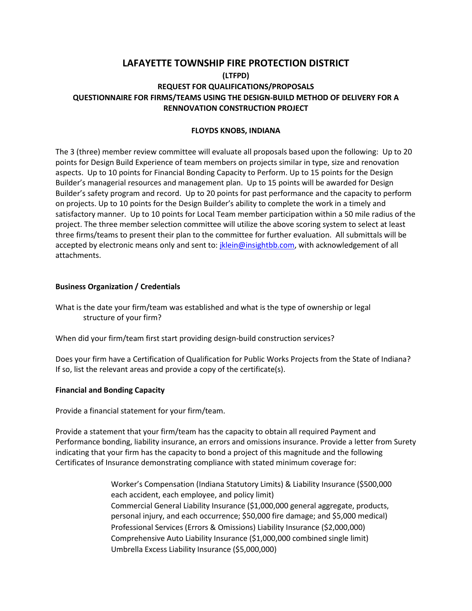# **LAFAYETTE TOWNSHIP FIRE PROTECTION DISTRICT (LTFPD) REQUEST FOR QUALIFICATIONS/PROPOSALS QUESTIONNAIRE FOR FIRMS/TEAMS USING THE DESIGN-BUILD METHOD OF DELIVERY FOR A RENNOVATION CONSTRUCTION PROJECT**

## **FLOYDS KNOBS, INDIANA**

The 3 (three) member review committee will evaluate all proposals based upon the following: Up to 20 points for Design Build Experience of team members on projects similar in type, size and renovation aspects. Up to 10 points for Financial Bonding Capacity to Perform. Up to 15 points for the Design Builder's managerial resources and management plan. Up to 15 points will be awarded for Design Builder's safety program and record. Up to 20 points for past performance and the capacity to perform on projects. Up to 10 points for the Design Builder's ability to complete the work in a timely and satisfactory manner. Up to 10 points for Local Team member participation within a 50 mile radius of the project. The three member selection committee will utilize the above scoring system to select at least three firms/teams to present their plan to the committee for further evaluation. All submittals will be accepted by electronic means only and sent to: [jklein@insightbb.com,](mailto:jklein@insightbb.com) with acknowledgement of all attachments.

## **Business Organization / Credentials**

What is the date your firm/team was established and what is the type of ownership or legal structure of your firm?

When did your firm/team first start providing design-build construction services?

Does your firm have a Certification of Qualification for Public Works Projects from the State of Indiana? If so, list the relevant areas and provide a copy of the certificate(s).

### **Financial and Bonding Capacity**

Provide a financial statement for your firm/team.

Provide a statement that your firm/team has the capacity to obtain all required Payment and Performance bonding, liability insurance, an errors and omissions insurance. Provide a letter from Surety indicating that your firm has the capacity to bond a project of this magnitude and the following Certificates of Insurance demonstrating compliance with stated minimum coverage for:

> Worker's Compensation (Indiana Statutory Limits) & Liability Insurance (\$500,000 each accident, each employee, and policy limit) Commercial General Liability Insurance (\$1,000,000 general aggregate, products, personal injury, and each occurrence; \$50,000 fire damage; and \$5,000 medical) Professional Services (Errors & Omissions) Liability Insurance (\$2,000,000) Comprehensive Auto Liability Insurance (\$1,000,000 combined single limit) Umbrella Excess Liability Insurance (\$5,000,000)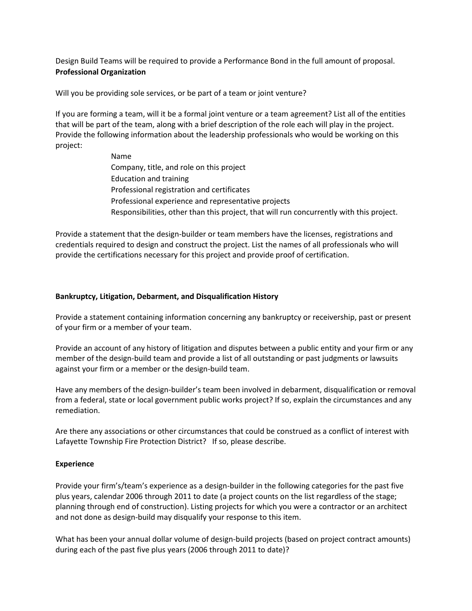Design Build Teams will be required to provide a Performance Bond in the full amount of proposal. **Professional Organization**

Will you be providing sole services, or be part of a team or joint venture?

If you are forming a team, will it be a formal joint venture or a team agreement? List all of the entities that will be part of the team, along with a brief description of the role each will play in the project. Provide the following information about the leadership professionals who would be working on this project:

> Name Company, title, and role on this project Education and training Professional registration and certificates Professional experience and representative projects Responsibilities, other than this project, that will run concurrently with this project.

Provide a statement that the design-builder or team members have the licenses, registrations and credentials required to design and construct the project. List the names of all professionals who will provide the certifications necessary for this project and provide proof of certification.

### **Bankruptcy, Litigation, Debarment, and Disqualification History**

Provide a statement containing information concerning any bankruptcy or receivership, past or present of your firm or a member of your team.

Provide an account of any history of litigation and disputes between a public entity and your firm or any member of the design-build team and provide a list of all outstanding or past judgments or lawsuits against your firm or a member or the design-build team.

Have any members of the design-builder's team been involved in debarment, disqualification or removal from a federal, state or local government public works project? If so, explain the circumstances and any remediation.

Are there any associations or other circumstances that could be construed as a conflict of interest with Lafayette Township Fire Protection District? If so, please describe.

### **Experience**

Provide your firm's/team's experience as a design-builder in the following categories for the past five plus years, calendar 2006 through 2011 to date (a project counts on the list regardless of the stage; planning through end of construction). Listing projects for which you were a contractor or an architect and not done as design-build may disqualify your response to this item.

What has been your annual dollar volume of design-build projects (based on project contract amounts) during each of the past five plus years (2006 through 2011 to date)?